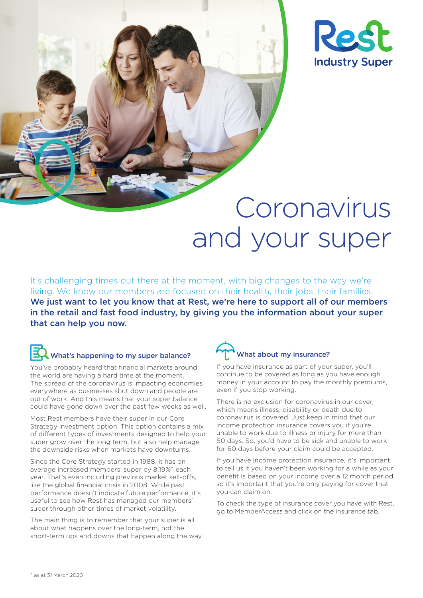



# Coronavirus and your super

It's challenging times out there at the moment, with big changes to the way we're living. We know our members are focused on their health, their jobs, their families. We just want to let you know that at Rest, we're here to support all of our members in the retail and fast food industry, by giving you the information about your super that can help you now.

#### What's happening to my super balance?

You've probably heard that financial markets around the world are having a hard time at the moment. The spread of the coronavirus is impacting economies everywhere as businesses shut down and people are out of work. And this means that your super balance could have gone down over the past few weeks as well.

Most Rest members have their super in our Core Strategy investment option. This option contains a mix of different types of investments designed to help your super grow over the long term, but also help manage the downside risks when markets have downturns.

Since the Core Strategy started in 1988, it has on average increased members' super by 8.19%^ each year. That's even including previous market sell-offs, like the global financial crisis in 2008. While past performance doesn't indicate future performance, it's useful to see how Rest has managed our members' super through other times of market volatility.

The main thing is to remember that your super is all about what happens over the long-term, not the short-term ups and downs that happen along the way.

# What about my insurance?

If you have insurance as part of your super, you'll continue to be covered as long as you have enough money in your account to pay the monthly premiums, even if you stop working.

There is no exclusion for coronavirus in our cover, which means illness, disability or death due to coronavirus is covered. Just keep in mind that our income protection insurance covers you if you're unable to work due to illness or injury for more than 60 days. So, you'd have to be sick and unable to work for 60 days before your claim could be accepted.

If you have income protection insurance, it's important to tell us if you haven't been working for a while as your benefit is based on your income over a 12 month period, so it's important that you're only paying for cover that you can claim on.

To check the type of insurance cover you have with Rest, go to MemberAccess and click on the insurance tab.